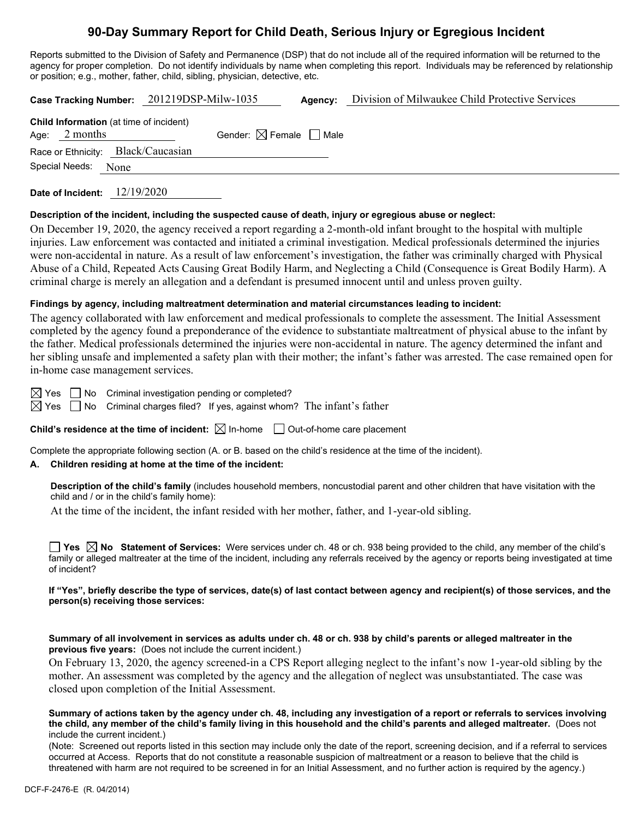# **90-Day Summary Report for Child Death, Serious Injury or Egregious Incident**

Reports submitted to the Division of Safety and Permanence (DSP) that do not include all of the required information will be returned to the agency for proper completion. Do not identify individuals by name when completing this report. Individuals may be referenced by relationship or position; e.g., mother, father, child, sibling, physician, detective, etc.

|                                                                                                         | Case Tracking Number: 201219DSP-Milw-1035 | Agency: | Division of Milwaukee Child Protective Services |
|---------------------------------------------------------------------------------------------------------|-------------------------------------------|---------|-------------------------------------------------|
| <b>Child Information</b> (at time of incident)<br>Age: $2$ months<br>Race or Ethnicity: Black/Caucasian | Gender: $\boxtimes$ Female $\Box$ Male    |         |                                                 |
| Special Needs:<br>None                                                                                  |                                           |         |                                                 |

**Date of Incident:** 12/19/2020

#### **Description of the incident, including the suspected cause of death, injury or egregious abuse or neglect:**

On December 19, 2020, the agency received a report regarding a 2-month-old infant brought to the hospital with multiple injuries. Law enforcement was contacted and initiated a criminal investigation. Medical professionals determined the injuries were non-accidental in nature. As a result of law enforcement's investigation, the father was criminally charged with Physical Abuse of a Child, Repeated Acts Causing Great Bodily Harm, and Neglecting a Child (Consequence is Great Bodily Harm). A criminal charge is merely an allegation and a defendant is presumed innocent until and unless proven guilty.

#### **Findings by agency, including maltreatment determination and material circumstances leading to incident:**

The agency collaborated with law enforcement and medical professionals to complete the assessment. The Initial Assessment completed by the agency found a preponderance of the evidence to substantiate maltreatment of physical abuse to the infant by the father. Medical professionals determined the injuries were non-accidental in nature. The agency determined the infant and her sibling unsafe and implemented a safety plan with their mother; the infant's father was arrested. The case remained open for in-home case management services.

 $\boxtimes$  Yes  $\Box$  No Criminal investigation pending or completed?

 $\boxtimes$  Yes  $\Box$  No Criminal charges filed? If yes, against whom? The infant's father

**Child's residence at the time of incident:**  $\boxtimes$  In-home  $\Box$  Out-of-home care placement

Complete the appropriate following section (A. or B. based on the child's residence at the time of the incident).

#### **A. Children residing at home at the time of the incident:**

**Description of the child's family** (includes household members, noncustodial parent and other children that have visitation with the child and / or in the child's family home):

At the time of the incident, the infant resided with her mother, father, and 1-year-old sibling.

**Yes**  $\boxtimes$  **No** Statement of Services: Were services under ch. 48 or ch. 938 being provided to the child, any member of the child's family or alleged maltreater at the time of the incident, including any referrals received by the agency or reports being investigated at time of incident?

#### **If "Yes", briefly describe the type of services, date(s) of last contact between agency and recipient(s) of those services, and the person(s) receiving those services:**

**Summary of all involvement in services as adults under ch. 48 or ch. 938 by child's parents or alleged maltreater in the previous five years:** (Does not include the current incident.)

On February 13, 2020, the agency screened-in a CPS Report alleging neglect to the infant's now 1-year-old sibling by the mother. An assessment was completed by the agency and the allegation of neglect was unsubstantiated. The case was closed upon completion of the Initial Assessment.

**Summary of actions taken by the agency under ch. 48, including any investigation of a report or referrals to services involving the child, any member of the child's family living in this household and the child's parents and alleged maltreater.** (Does not include the current incident.)

(Note: Screened out reports listed in this section may include only the date of the report, screening decision, and if a referral to services occurred at Access. Reports that do not constitute a reasonable suspicion of maltreatment or a reason to believe that the child is threatened with harm are not required to be screened in for an Initial Assessment, and no further action is required by the agency.)